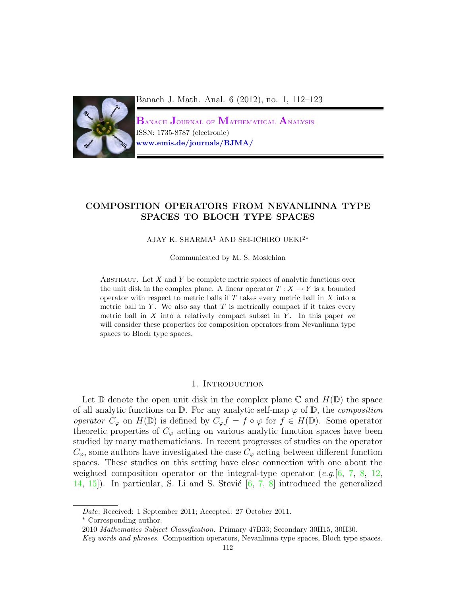

Banach J. Math. Anal. 6 (2012), no. 1, 112–123

 $\rm{B_{\rm{ANACH}}}$  Journal of  $\rm{M_{\rm{ATHEMATICAL}}}$   $\rm{A_{\rm{NALYSIS}}}$ ISSN: 1735-8787 (electronic) www.emis.de/journals/BJMA/

# COMPOSITION OPERATORS FROM NEVANLINNA TYPE SPACES TO BLOCH TYPE SPACES

#### AJAY K. SHARMA<sup>1</sup> AND SEI-ICHIRO UEKI<sup>2</sup><sup>∗</sup>

Communicated by M. S. Moslehian

ABSTRACT. Let  $X$  and  $Y$  be complete metric spaces of analytic functions over the unit disk in the complex plane. A linear operator  $T : X \to Y$  is a bounded operator with respect to metric balls if  $T$  takes every metric ball in  $X$  into a metric ball in  $Y$ . We also say that  $T$  is metrically compact if it takes every metric ball in  $X$  into a relatively compact subset in  $Y$ . In this paper we will consider these properties for composition operators from Nevanlinna type spaces to Bloch type spaces.

## 1. INTRODUCTION

Let  $\mathbb D$  denote the open unit disk in the complex plane  $\mathbb C$  and  $H(\mathbb D)$  the space of all analytic functions on  $\mathbb D$ . For any analytic self-map  $\varphi$  of  $\mathbb D$ , the *composition* operator  $C_{\varphi}$  on  $H(\mathbb{D})$  is defined by  $C_{\varphi} f = f \circ \varphi$  for  $f \in H(\mathbb{D})$ . Some operator theoretic properties of  $C_{\varphi}$  acting on various analytic function spaces have been studied by many mathematicians. In recent progresses of studies on the operator  $C_{\varphi}$ , some authors have investigated the case  $C_{\varphi}$  acting between different function spaces. These studies on this setting have close connection with one about the weighted composition operator or the integral-type operator (e.g.  $[6, 7, 8, 12]$  $[6, 7, 8, 12]$  $[6, 7, 8, 12]$  $[6, 7, 8, 12]$  $[6, 7, 8, 12]$  $[6, 7, 8, 12]$ ) [14,](#page-10-4) 15). In particular, S. Li and S. Stević  $[6, 7, 8]$  $[6, 7, 8]$  $[6, 7, 8]$  $[6, 7, 8]$  introduced the generalized

<sup>∗</sup> Corresponding author.

Date: Received: 1 September 2011; Accepted: 27 October 2011.

<sup>2010</sup> Mathematics Subject Classification. Primary 47B33; Secondary 30H15, 30H30.

Key words and phrases. Composition operators, Nevanlinna type spaces, Bloch type spaces.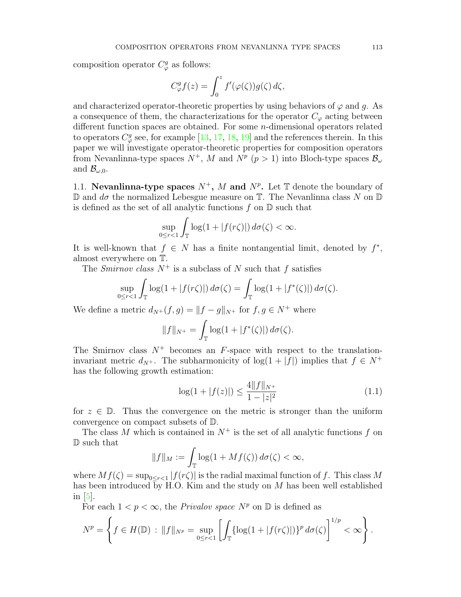composition operator  $C^g_\varphi$  as follows:

$$
C_{\varphi}^{g} f(z) = \int_0^z f'(\varphi(\zeta)) g(\zeta) d\zeta,
$$

and characterized operator-theoretic properties by using behaviors of  $\varphi$  and g. As a consequence of them, the characterizations for the operator  $C_{\varphi}$  acting between different function spaces are obtained. For some n-dimensional operators related to operators  $C^g_\varphi$  see, for example [\[13,](#page-10-6) [17,](#page-10-7) [18,](#page-10-8) [19\]](#page-11-0) and the references therein. In this paper we will investigate operator-theoretic properties for composition operators from Nevanlinna-type spaces  $N^+$ , M and  $N^p$  ( $p > 1$ ) into Bloch-type spaces  $\mathcal{B}_{\omega}$ and  $\mathcal{B}_{\omega,0}$ .

1.1. Nevanlinna-type spaces  $N^+$ , M and  $N^p$ . Let T denote the boundary of D and  $d\sigma$  the normalized Lebesgue measure on T. The Nevanlinna class N on D is defined as the set of all analytic functions  $f$  on  $D$  such that

$$
\sup_{0\leq r<1}\int_{\mathbb{T}}\log(1+|f(r\zeta)|)\,d\sigma(\zeta)<\infty.
$$

It is well-known that  $f \in N$  has a finite nontangential limit, denoted by  $f^*$ , almost everywhere on T.

The Smirnov class  $N^+$  is a subclass of N such that f satisfies

$$
\sup_{0 \le r < 1} \int_{\mathbb{T}} \log(1 + |f(r\zeta)|) \, d\sigma(\zeta) = \int_{\mathbb{T}} \log(1 + |f^*(\zeta)|) \, d\sigma(\zeta).
$$

We define a metric  $d_{N^+}(f,g) = ||f - g||_{N^+}$  for  $f, g \in N^+$  where

$$
||f||_{N^+} = \int_{\mathbb{T}} \log(1 + |f^*(\zeta)|) d\sigma(\zeta).
$$

The Smirnov class  $N^+$  becomes an F-space with respect to the translationinvariant metric  $d_{N^+}$ . The subharmonicity of  $log(1+|f|)$  implies that  $f \in N^+$ has the following growth estimation:

<span id="page-1-0"></span>
$$
\log(1 + |f(z)|) \le \frac{4||f||_{N^+}}{1 - |z|^2} \tag{1.1}
$$

for  $z \in \mathbb{D}$ . Thus the convergence on the metric is stronger than the uniform convergence on compact subsets of D.

The class M which is contained in  $N^+$  is the set of all analytic functions f on D such that

$$
||f||_M := \int_{\mathbb{T}} \log(1 + Mf(\zeta)) d\sigma(\zeta) < \infty,
$$

where  $Mf(\zeta) = \sup_{0 \le r < 1} |f(r\zeta)|$  is the radial maximal function of f. This class M has been introduced by H.O. Kim and the study on  $M$  has been well established in [\[5\]](#page-10-9).

For each  $1 < p < \infty$ , the *Privalov space*  $N^p$  on  $\mathbb D$  is defined as

$$
N^{p} = \left\{ f \in H(\mathbb{D}) : ||f||_{N^{p}} = \sup_{0 \leq r < 1} \left[ \int_{\mathbb{T}} \{ \log(1 + |f(r\zeta)|) \}^{p} d\sigma(\zeta) \right]^{1/p} < \infty \right\}.
$$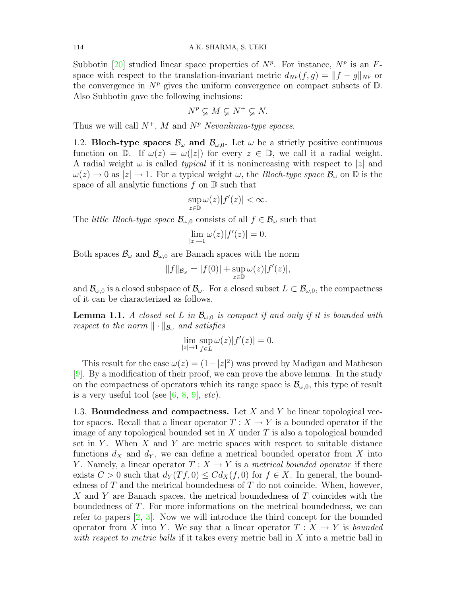Subbotin [\[20\]](#page-11-1) studied linear space properties of  $N^p$ . For instance,  $N^p$  is an Fspace with respect to the translation-invariant metric  $d_{N^p}(f, g) = ||f - g||_{N^p}$  or the convergence in  $N^p$  gives the uniform convergence on compact subsets of  $\mathbb D$ . Also Subbotin gave the following inclusions:

$$
N^p \varsubsetneq M \varsubsetneq N^+ \varsubsetneq N.
$$

Thus we will call  $N^+$ , M and  $N^p$  Nevanlinna-type spaces.

1.2. Bloch-type spaces  $\mathcal{B}_{\omega}$  and  $\mathcal{B}_{\omega,0}$ . Let  $\omega$  be a strictly positive continuous function on D. If  $\omega(z) = \omega(|z|)$  for every  $z \in \mathbb{D}$ , we call it a radial weight. A radial weight  $\omega$  is called *typical* if it is nonincreasing with respect to |z| and  $\omega(z) \to 0$  as  $|z| \to 1$ . For a typical weight  $\omega$ , the *Bloch-type space*  $\mathcal{B}_{\omega}$  on  $\mathbb{D}$  is the space of all analytic functions  $f$  on  $\mathbb D$  such that

$$
\sup_{z\in\mathbb{D}}\omega(z)|f'(z)|<\infty.
$$

The *little Bloch-type space*  $\mathcal{B}_{\omega,0}$  consists of all  $f \in \mathcal{B}_{\omega}$  such that

$$
\lim_{|z|\to 1}\omega(z)|f'(z)|=0.
$$

Both spaces  $\mathcal{B}_{\omega}$  and  $\mathcal{B}_{\omega,0}$  are Banach spaces with the norm

$$
||f||_{\mathcal{B}_{\omega}} = |f(0)| + \sup_{z \in \mathbb{D}} \omega(z)|f'(z)|,
$$

and  $\mathcal{B}_{\omega,0}$  is a closed subspace of  $\mathcal{B}_{\omega}$ . For a closed subset  $L \subset \mathcal{B}_{\omega,0}$ , the compactness of it can be characterized as follows.

<span id="page-2-0"></span>**Lemma 1.1.** A closed set L in  $\mathcal{B}_{\omega,0}$  is compact if and only if it is bounded with respect to the norm  $\|\cdot\|_{\mathcal{B}_{\omega}}$  and satisfies

$$
\lim_{|z| \to 1} \sup_{f \in L} \omega(z) |f'(z)| = 0.
$$

This result for the case  $\omega(z) = (1 - |z|^2)$  was proved by Madigan and Matheson [\[9\]](#page-10-10). By a modification of their proof, we can prove the above lemma. In the study on the compactness of operators which its range space is  $\mathcal{B}_{\omega,0}$ , this type of result is a very useful tool (see  $[6, 8, 9]$  $[6, 8, 9]$  $[6, 8, 9]$  $[6, 8, 9]$ , etc).

1.3. Boundedness and compactness. Let X and Y be linear topological vector spaces. Recall that a linear operator  $T : X \to Y$  is a bounded operator if the image of any topological bounded set in X under  $T$  is also a topological bounded set in Y. When  $X$  and Y are metric spaces with respect to suitable distance functions  $d_X$  and  $d_Y$ , we can define a metrical bounded operator from X into Y. Namely, a linear operator  $T : X \to Y$  is a metrical bounded operator if there exists  $C > 0$  such that  $d_Y(Tf, 0) \leq C d_X(f, 0)$  for  $f \in X$ . In general, the boundedness of  $T$  and the metrical boundedness of  $T$  do not coincide. When, however, X and Y are Banach spaces, the metrical boundedness of T coincides with the boundedness of T. For more informations on the metrical boundedness, we can refer to papers [\[2,](#page-10-11) [3\]](#page-10-12). Now we will introduce the third concept for the bounded operator from X into Y. We say that a linear operator  $T : X \to Y$  is bounded with respect to metric balls if it takes every metric ball in X into a metric ball in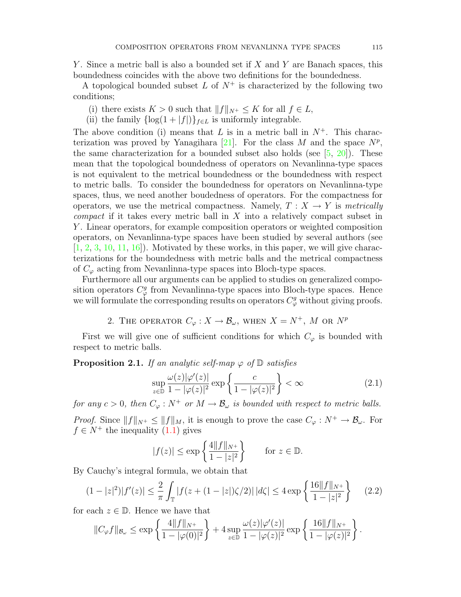Y. Since a metric ball is also a bounded set if X and Y are Banach spaces, this boundedness coincides with the above two definitions for the boundedness.

A topological bounded subset L of  $N^+$  is characterized by the following two conditions;

- (i) there exists  $K > 0$  such that  $||f||_{N^+} \leq K$  for all  $f \in L$ ,
- (ii) the family  $\{\log(1+|f|)\}_{f\in L}$  is uniformly integrable.

The above condition (i) means that L is in a metric ball in  $N^+$ . This charac-terization was proved by Yanagihara [\[21\]](#page-11-2). For the class M and the space  $N^p$ , the same characterization for a bounded subset also holds (see  $[5, 20]$  $[5, 20]$ ). These mean that the topological boundedness of operators on Nevanlinna-type spaces is not equivalent to the metrical boundedness or the boundedness with respect to metric balls. To consider the boundedness for operators on Nevanlinna-type spaces, thus, we need another boudedness of operators. For the compactness for operators, we use the metrical compactness. Namely,  $T : X \to Y$  is metrically *compact* if it takes every metric ball in  $X$  into a relatively compact subset in Y . Linear operators, for example composition operators or weighted composition operators, on Nevanlinna-type spaces have been studied by several authors (see  $[1, 2, 3, 10, 11, 16]$  $[1, 2, 3, 10, 11, 16]$  $[1, 2, 3, 10, 11, 16]$  $[1, 2, 3, 10, 11, 16]$  $[1, 2, 3, 10, 11, 16]$  $[1, 2, 3, 10, 11, 16]$  $[1, 2, 3, 10, 11, 16]$  $[1, 2, 3, 10, 11, 16]$  $[1, 2, 3, 10, 11, 16]$  $[1, 2, 3, 10, 11, 16]$  $[1, 2, 3, 10, 11, 16]$ . Motivated by these works, in this paper, we will give characterizations for the boundedness with metric balls and the metrical compactness of  $C_{\varphi}$  acting from Nevanlinna-type spaces into Bloch-type spaces.

Furthermore all our arguments can be applied to studies on generalized composition operators  $C^g_{\varphi}$  from Nevanlinna-type spaces into Bloch-type spaces. Hence we will formulate the corresponding results on operators  $C^g_\varphi$  without giving proofs.

2. THE OPERATOR  $C_{\varphi}: X \to \mathcal{B}_{\omega}$ , when  $X = N^{+}$ , M or  $N^{p}$ 

First we will give one of sufficient conditions for which  $C_{\varphi}$  is bounded with respect to metric balls.

<span id="page-3-1"></span>**Proposition 2.1.** If an analytic self-map  $\varphi$  of  $\mathbb{D}$  satisfies

<span id="page-3-0"></span>
$$
\sup_{z \in \mathbb{D}} \frac{\omega(z)|\varphi'(z)|}{1 - |\varphi(z)|^2} \exp\left\{\frac{c}{1 - |\varphi(z)|^2}\right\} < \infty \tag{2.1}
$$

for any  $c > 0$ , then  $C_{\varphi}: N^+$  or  $M \to \mathcal{B}_{\omega}$  is bounded with respect to metric balls.

*Proof.* Since  $||f||_{N^+} \le ||f||_M$ , it is enough to prove the case  $C_\varphi : N^+ \to \mathcal{B}_{\omega}$ . For  $f \in N^+$  the inequality  $(1.1)$  gives

<span id="page-3-2"></span>
$$
|f(z)| \le \exp\left\{\frac{4||f||_{N^+}}{1-|z|^2}\right\} \quad \text{for } z \in \mathbb{D}.
$$

By Cauchy's integral formula, we obtain that

$$
(1-|z|^2)|f'(z)| \le \frac{2}{\pi} \int_{\mathbb{T}} |f(z+(1-|z|)\zeta/2)| \, |d\zeta| \le 4 \exp\left\{ \frac{16||f||_{N^+}}{1-|z|^2} \right\} \tag{2.2}
$$

for each  $z \in \mathbb{D}$ . Hence we have that

$$
||C_{\varphi}f||_{\mathcal{B}_{\omega}} \le \exp\left\{\frac{4||f||_{N^{+}}}{1-|\varphi(0)|^{2}}\right\} + 4 \sup_{z \in \mathbb{D}} \frac{\omega(z)|\varphi'(z)|}{1-|\varphi(z)|^{2}} \exp\left\{\frac{16||f||_{N^{+}}}{1-|\varphi(z)|^{2}}\right\}.
$$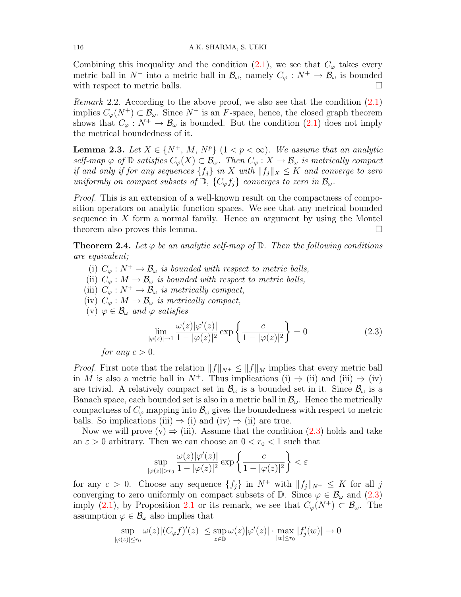Combining this inequality and the condition [\(2.1\)](#page-3-0), we see that  $C_{\varphi}$  takes every metric ball in  $N^+$  into a metric ball in  $\mathcal{B}_{\omega}$ , namely  $C_{\varphi}: N^+ \to \mathcal{B}_{\omega}$  is bounded with respect to metric balls.

*Remark* 2.2. According to the above proof, we also see that the condition  $(2.1)$ implies  $C_{\varphi}(N^+) \subset \mathcal{B}_{\omega}$ . Since  $N^+$  is an F-space, hence, the closed graph theorem shows that  $C_{\varphi}: N^+ \to \mathcal{B}_{\omega}$  is bounded. But the condition [\(2.1\)](#page-3-0) does not imply the metrical boundedness of it.

<span id="page-4-1"></span>**Lemma 2.3.** Let  $X \in \{N^+, M, N^p\}$   $(1 < p < \infty)$ . We assume that an analytic self-map  $\varphi$  of  $\mathbb D$  satisfies  $C_{\varphi}(X) \subset \mathcal{B}_{\omega}$ . Then  $C_{\varphi}: X \to \mathcal{B}_{\omega}$  is metrically compact if and only if for any sequences  $\{f_i\}$  in X with  $||f_j||_X \leq K$  and converge to zero uniformly on compact subsets of  $\mathbb{D}, \{C_{\varphi}f_i\}$  converges to zero in  $\mathcal{B}_{\omega}$ .

*Proof.* This is an extension of a well-known result on the compactness of composition operators on analytic function spaces. We see that any metrical bounded sequence in  $X$  form a normal family. Hence an argument by using the Montel theorem also proves this lemma.

<span id="page-4-2"></span>**Theorem 2.4.** Let  $\varphi$  be an analytic self-map of  $\mathbb{D}$ . Then the following conditions are equivalent;

- (i)  $C_{\varphi}: N^+ \to \mathcal{B}_{\omega}$  is bounded with respect to metric balls,
- (ii)  $C_{\varphi}: M \to \mathcal{B}_{\omega}$  is bounded with respect to metric balls,
- (iii)  $C_{\varphi}: N^+ \to \mathcal{B}_{\omega}$  is metrically compact,
- (iv)  $C_{\varphi}: M \to \mathcal{B}_{\omega}$  is metrically compact,
- (v)  $\varphi \in \mathcal{B}_{\omega}$  and  $\varphi$  satisfies

<span id="page-4-0"></span>
$$
\lim_{|\varphi(z)| \to 1} \frac{\omega(z)|\varphi'(z)|}{1 - |\varphi(z)|^2} \exp\left\{\frac{c}{1 - |\varphi(z)|^2}\right\} = 0 \tag{2.3}
$$

for any 
$$
c > 0
$$
.

*Proof.* First note that the relation  $||f||_{N^+} \leq ||f||_M$  implies that every metric ball in M is also a metric ball in  $N^+$ . Thus implications (i)  $\Rightarrow$  (ii) and (iii)  $\Rightarrow$  (iv) are trivial. A relatively compact set in  $\mathcal{B}_{\omega}$  is a bounded set in it. Since  $\mathcal{B}_{\omega}$  is a Banach space, each bounded set is also in a metric ball in  $\mathcal{B}_{\omega}$ . Hence the metrically compactness of  $C_{\varphi}$  mapping into  $\mathcal{B}_{\omega}$  gives the boundedness with respect to metric balls. So implications (iii)  $\Rightarrow$  (i) and (iv)  $\Rightarrow$  (ii) are true.

Now we will prove  $(v) \Rightarrow (iii)$ . Assume that the condition  $(2.3)$  holds and take an  $\varepsilon > 0$  arbitrary. Then we can choose an  $0 < r_0 < 1$  such that

$$
\sup_{|\varphi(z)|>r_0} \frac{\omega(z)|\varphi'(z)|}{1-|\varphi(z)|^2} \exp\left\{\frac{c}{1-|\varphi(z)|^2}\right\} < \varepsilon
$$

for any  $c > 0$ . Choose any sequence  $\{f_j\}$  in  $N^+$  with  $||f_j||_{N^+} \leq K$  for all j converging to zero uniformly on compact subsets of  $\mathbb{D}$ . Since  $\varphi \in \mathcal{B}_{\omega}$  and  $(2.3)$ imply [\(2.1\)](#page-3-0), by Proposition [2.1](#page-3-1) or its remark, we see that  $C_{\varphi}(N^+) \subset \mathcal{B}_{\omega}$ . The assumption  $\varphi \in \mathcal{B}_{\omega}$  also implies that

$$
\sup_{|\varphi(z)| \le r_0} \omega(z) |(C_{\varphi} f)'(z)| \le \sup_{z \in \mathbb{D}} \omega(z) |\varphi'(z)| \cdot \max_{|w| \le r_0} |f'_j(w)| \to 0
$$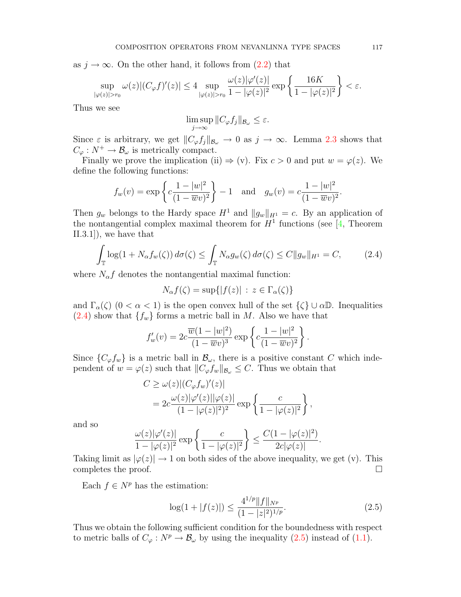as  $j \to \infty$ . On the other hand, it follows from [\(2.2\)](#page-3-2) that

$$
\sup_{|\varphi(z)|>r_0}\omega(z)|(C_{\varphi}f)'(z)|\leq 4\sup_{|\varphi(z)|>r_0}\frac{\omega(z)|\varphi'(z)|}{1-|\varphi(z)|^2}\exp\left\{\frac{16K}{1-|\varphi(z)|^2}\right\}<\varepsilon.
$$

Thus we see

$$
\limsup_{j \to \infty} ||C_{\varphi} f_j||_{\mathcal{B}_{\omega}} \leq \varepsilon.
$$

Since  $\varepsilon$  is arbitrary, we get  $||C_{\varphi}f_j||_{\mathcal{B}_{\omega}} \to 0$  as  $j \to \infty$ . Lemma [2.3](#page-4-1) shows that  $C_{\varphi}: N^+ \to \mathcal{B}_{\omega}$  is metrically compact.

Finally we prove the implication (ii)  $\Rightarrow$  (v). Fix  $c > 0$  and put  $w = \varphi(z)$ . We define the following functions:

$$
f_w(v) = \exp\left\{c\frac{1-|w|^2}{(1-\overline{w}v)^2}\right\} - 1
$$
 and  $g_w(v) = c\frac{1-|w|^2}{(1-\overline{w}v)^2}$ .

Then  $g_w$  belongs to the Hardy space  $H^1$  and  $||g_w||_{H^1} = c$ . By an application of the nontangential complex maximal theorem for  $H<sup>1</sup>$  functions (see [\[4,](#page-10-17) Theorem II.3.1]), we have that

$$
\int_{\mathbb{T}} \log(1 + N_{\alpha} f_w(\zeta)) d\sigma(\zeta) \le \int_{\mathbb{T}} N_{\alpha} g_w(\zeta) d\sigma(\zeta) \le C \|g_w\|_{H^1} = C,\tag{2.4}
$$

where  $N_{\alpha}f$  denotes the nontangential maximal function:

<span id="page-5-0"></span>
$$
N_{\alpha}f(\zeta) = \sup\{|f(z)| \, : \, z \in \Gamma_{\alpha}(\zeta)\}\
$$

and  $\Gamma_{\alpha}(\zeta)$   $(0 < \alpha < 1)$  is the open convex hull of the set  $\{\zeta\} \cup \alpha \mathbb{D}$ . Inequalities  $(2.4)$  show that  $\{f_w\}$  forms a metric ball in M. Also we have that

$$
f'_{w}(v) = 2c \frac{\overline{w}(1-|w|^2)}{(1-\overline{w}v)^3} \exp \left\{ c \frac{1-|w|^2}{(1-\overline{w}v)^2} \right\}.
$$

Since  $\{C_{\varphi}f_w\}$  is a metric ball in  $\mathcal{B}_{\omega}$ , there is a positive constant C which independent of  $w = \varphi(z)$  such that  $||C_{\varphi}f_w||_{\mathcal{B}_{\omega}} \leq C$ . Thus we obtain that

$$
C \ge \omega(z)|(C_{\varphi}f_w)'(z)|
$$
  
=  $2c \frac{\omega(z)|\varphi'(z)||\varphi(z)|}{(1-|\varphi(z)|^2)^2} \exp\left\{\frac{c}{1-|\varphi(z)|^2}\right\},$ 

and so

$$
\frac{\omega(z)|\varphi'(z)|}{1-|\varphi(z)|^2}\exp\left\{\frac{c}{1-|\varphi(z)|^2}\right\}\leq \frac{C(1-|\varphi(z)|^2)}{2c|\varphi(z)|}.
$$

Taking limit as  $|\varphi(z)| \to 1$  on both sides of the above inequality, we get (v). This completes the proof.

Each  $f \in N^p$  has the estimation:

<span id="page-5-1"></span>
$$
\log(1+|f(z)|) \le \frac{4^{1/p}||f||_{N^p}}{(1-|z|^2)^{1/p}}.\tag{2.5}
$$

Thus we obtain the following sufficient condition for the boundedness with respect to metric balls of  $C_{\varphi}: N^p \to \mathcal{B}_{\omega}$  by using the inequality [\(2.5\)](#page-5-1) instead of [\(1.1\)](#page-1-0).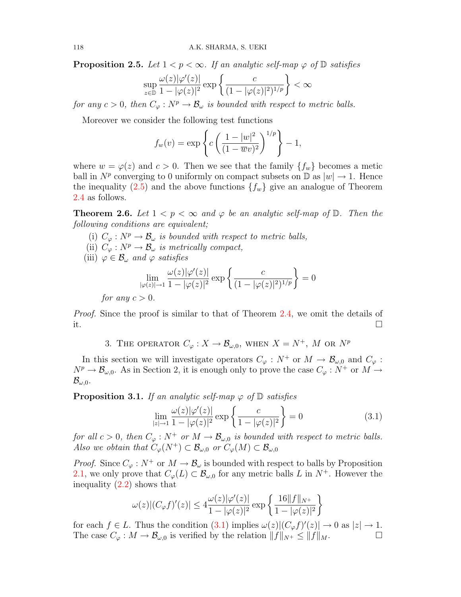**Proposition 2.5.** Let  $1 < p < \infty$ . If an analytic self-map  $\varphi$  of  $\mathbb D$  satisfies

$$
\sup_{z \in \mathbb{D}} \frac{\omega(z)|\varphi'(z)|}{1 - |\varphi(z)|^2} \exp\left\{\frac{c}{(1 - |\varphi(z)|^2)^{1/p}}\right\} < \infty
$$

for any  $c > 0$ , then  $C_{\varphi}: N^p \to \mathcal{B}_{\omega}$  is bounded with respect to metric balls.

Moreover we consider the following test functions

$$
f_w(v) = \exp\left\{c\left(\frac{1-|w|^2}{(1-\overline{w}v)^2}\right)^{1/p}\right\} - 1,
$$

where  $w = \varphi(z)$  and  $c > 0$ . Then we see that the family  $\{f_w\}$  becomes a metic ball in  $N^p$  converging to 0 uniformly on compact subsets on  $\mathbb{D}$  as  $|w| \to 1$ . Hence the inequality [\(2.5\)](#page-5-1) and the above functions  ${f_w}$  give an analogue of Theorem [2.4](#page-4-2) as follows.

<span id="page-6-3"></span>**Theorem 2.6.** Let  $1 < p < \infty$  and  $\varphi$  be an analytic self-map of  $\mathbb{D}$ . Then the following conditions are equivalent;

- (i)  $C_{\varphi}: N^p \to \mathcal{B}_{\omega}$  is bounded with respect to metric balls,
- (ii)  $C_{\varphi}: N^p \to \mathcal{B}_{\omega}$  is metrically compact,
- (iii)  $\varphi \in \mathcal{B}_{\omega}$  and  $\varphi$  satisfies

$$
\lim_{|\varphi(z)| \to 1} \frac{\omega(z)|\varphi'(z)|}{1 - |\varphi(z)|^2} \exp\left\{\frac{c}{(1 - |\varphi(z)|^2)^{1/p}}\right\} = 0
$$

for any  $c > 0$ .

*Proof.* Since the proof is similar to that of Theorem [2.4,](#page-4-2) we omit the details of it.

3. THE OPERATOR  $C_{\varphi}: X \to \mathcal{B}_{\omega,0}$ , when  $X = N^+$ , M or  $N^p$ 

In this section we will investigate operators  $C_{\varphi}: N^+$  or  $M \to \mathcal{B}_{\omega,0}$  and  $C_{\varphi}$ :  $N^p \to \mathcal{B}_{\omega,0}$ . As in Section 2, it is enough only to prove the case  $C_\varphi : N^+$  or  $M \to$  $\mathcal{B}_{\omega,0}$ .

<span id="page-6-1"></span>**Proposition 3.1.** If an analytic self-map  $\varphi$  of  $\mathbb{D}$  satisfies

<span id="page-6-0"></span>
$$
\lim_{|z| \to 1} \frac{\omega(z)|\varphi'(z)|}{1 - |\varphi(z)|^2} \exp\left\{\frac{c}{1 - |\varphi(z)|^2}\right\} = 0
$$
\n(3.1)

for all  $c > 0$ , then  $C_{\varphi}: N^+$  or  $M \to \mathcal{B}_{\omega,0}$  is bounded with respect to metric balls. Also we obtain that  $C_{\varphi}(N^+) \subset \mathcal{B}_{\omega,0}$  or  $C_{\varphi}(M) \subset \mathcal{B}_{\omega,0}$ 

*Proof.* Since  $C_{\varphi}: N^+$  or  $M \to \mathcal{B}_{\omega}$  is bounded with respect to balls by Proposition [2.1,](#page-3-1) we only prove that  $C_{\varphi}(L) \subset \mathcal{B}_{\omega,0}$  for any metric balls L in  $N^+$ . However the inequality [\(2.2\)](#page-3-2) shows that

$$
\omega(z)| (C_{\varphi} f)'(z)| \leq 4 \frac{\omega(z)|\varphi'(z)|}{1 - |\varphi(z)|^2} \exp \left\{ \frac{16||f||_{N^+}}{1 - |\varphi(z)|^2} \right\}
$$

<span id="page-6-2"></span>for each  $f \in L$ . Thus the condition [\(3.1\)](#page-6-0) implies  $\omega(z)|(C_{\varphi}f)'(z)| \to 0$  as  $|z| \to 1$ . The case  $C_{\varphi}: M \to \mathcal{B}_{\omega,0}$  is verified by the relation  $||f||_{N^+} \leq ||f||_M$ .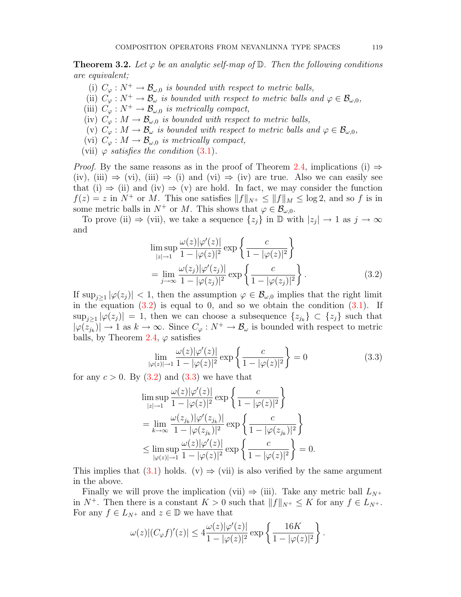**Theorem 3.2.** Let  $\varphi$  be an analytic self-map of  $\mathbb{D}$ . Then the following conditions are equivalent;

- (i)  $C_{\varphi}: N^+ \to \mathcal{B}_{\omega,0}$  is bounded with respect to metric balls,
- (ii)  $C_{\varphi}: N^+ \to \mathcal{B}_{\omega}$  is bounded with respect to metric balls and  $\varphi \in \mathcal{B}_{\omega,0}$ ,
- (iii)  $C_{\varphi}: N^+ \to \mathcal{B}_{\omega,0}$  is metrically compact,
- (iv)  $C_{\varphi}: M \to \mathcal{B}_{\omega,0}$  is bounded with respect to metric balls,
- (v)  $C_{\varphi}: M \to \mathcal{B}_{\omega}$  is bounded with respect to metric balls and  $\varphi \in \mathcal{B}_{\omega,0}$ ,
- (vi)  $C_{\varphi}: M \to \mathcal{B}_{\omega,0}$  is metrically compact,
- (vii)  $\varphi$  satisfies the condition [\(3.1\)](#page-6-0).

*Proof.* By the same reasons as in the proof of Theorem [2.4,](#page-4-2) implications (i)  $\Rightarrow$ (iv), (iii)  $\Rightarrow$  (vi), (iii)  $\Rightarrow$  (i) and (vi)  $\Rightarrow$  (iv) are true. Also we can easily see that (i)  $\Rightarrow$  (ii) and (iv)  $\Rightarrow$  (v) are hold. In fact, we may consider the function  $f(z) = z$  in  $N^+$  or M. This one satisfies  $||f||_{N^+} \le ||f||_M \le \log 2$ , and so f is in some metric balls in  $N^+$  or M. This shows that  $\varphi \in \mathcal{B}_{\omega,0}$ .

To prove (ii)  $\Rightarrow$  (vii), we take a sequence  $\{z_j\}$  in  $\mathbb D$  with  $|z_j| \to 1$  as  $j \to \infty$ and

<span id="page-7-0"></span>
$$
\limsup_{|z| \to 1} \frac{\omega(z)|\varphi'(z)|}{1 - |\varphi(z)|^2} \exp\left\{\frac{c}{1 - |\varphi(z)|^2}\right\}
$$
\n
$$
= \lim_{j \to \infty} \frac{\omega(z_j)|\varphi'(z_j)|}{1 - |\varphi(z_j)|^2} \exp\left\{\frac{c}{1 - |\varphi(z_j)|^2}\right\}.
$$
\n(3.2)

If  $\sup_{j\geq 1} |\varphi(z_j)| < 1$ , then the assumption  $\varphi \in \mathcal{B}_{\omega,0}$  implies that the right limit in the equation  $(3.2)$  is equal to 0, and so we obtain the condition  $(3.1)$ . If  $\sup_{j\geq 1} |\varphi(z_j)| = 1$ , then we can choose a subsequence  $\{z_{j_k}\}\subset \{z_j\}$  such that  $|\varphi(z_{jk})| \to 1$  as  $k \to \infty$ . Since  $C_{\varphi}: N^+ \to \mathcal{B}_{\omega}$  is bounded with respect to metric balls, by Theorem [2.4,](#page-4-2)  $\varphi$  satisfies

<span id="page-7-1"></span>
$$
\lim_{|\varphi(z)| \to 1} \frac{\omega(z)|\varphi'(z)|}{1 - |\varphi(z)|^2} \exp\left\{\frac{c}{1 - |\varphi(z)|^2}\right\} = 0 \tag{3.3}
$$

for any  $c > 0$ . By  $(3.2)$  and  $(3.3)$  we have that

$$
\limsup_{|z|\to 1} \frac{\omega(z)|\varphi'(z)|}{1-|\varphi(z)|^2} \exp\left\{\frac{c}{1-|\varphi(z)|^2}\right\}
$$
\n
$$
= \lim_{k\to\infty} \frac{\omega(z_{j_k})|\varphi'(z_{j_k})|}{1-|\varphi(z_{j_k})|^2} \exp\left\{\frac{c}{1-|\varphi(z_{j_k})|^2}\right\}
$$
\n
$$
\leq \limsup_{|\varphi(z)|\to 1} \frac{\omega(z)|\varphi'(z)|}{1-|\varphi(z)|^2} \exp\left\{\frac{c}{1-|\varphi(z)|^2}\right\} = 0.
$$

This implies that [\(3.1\)](#page-6-0) holds. (v)  $\Rightarrow$  (vii) is also verified by the same argument in the above.

Finally we will prove the implication (vii)  $\Rightarrow$  (iii). Take any metric ball  $L_{N^+}$ in  $N^+$ . Then there is a constant  $K > 0$  such that  $||f||_{N^+} \leq K$  for any  $f \in L_{N^+}$ . For any  $f \in L_{N^+}$  and  $z \in \mathbb{D}$  we have that

$$
\omega(z)|(C_{\varphi}f)'(z)| \leq 4\frac{\omega(z)|\varphi'(z)|}{1-|\varphi(z)|^2}\exp\left\{\frac{16K}{1-|\varphi(z)|^2}\right\}.
$$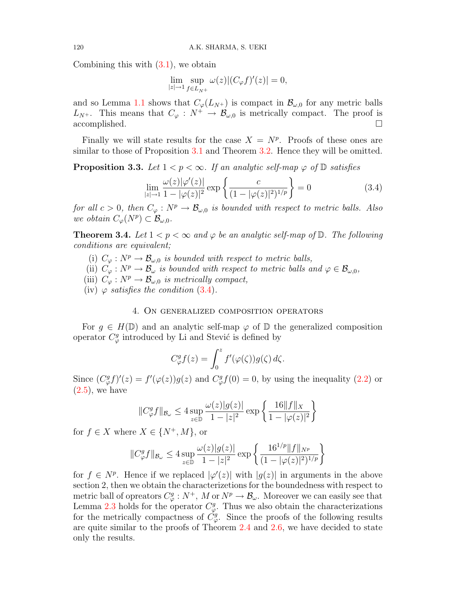Combining this with [\(3.1\)](#page-6-0), we obtain

<span id="page-8-0"></span>
$$
\lim_{|z| \to 1} \sup_{f \in L_{N^+}} \omega(z) |(C_{\varphi} f)'(z)| = 0,
$$

and so Lemma [1.1](#page-2-0) shows that  $C_{\varphi}(L_{N+})$  is compact in  $\mathcal{B}_{\varphi,0}$  for any metric balls  $L_{N^+}$ . This means that  $C_{\varphi}: N^+ \to \mathcal{B}_{\omega,0}$  is metrically compact. The proof is accomplished.

Finally we will state results for the case  $X = N^p$ . Proofs of these ones are similar to those of Proposition [3.1](#page-6-1) and Theorem [3.2.](#page-6-2) Hence they will be omitted.

**Proposition 3.3.** Let  $1 < p < \infty$ . If an analytic self-map  $\varphi$  of  $\mathbb D$  satisfies

$$
\lim_{|z| \to 1} \frac{\omega(z)|\varphi'(z)|}{1 - |\varphi(z)|^2} \exp\left\{\frac{c}{(1 - |\varphi(z)|^2)^{1/p}}\right\} = 0 \tag{3.4}
$$

for all  $c > 0$ , then  $C_{\varphi}: N^p \to \mathcal{B}_{\omega,0}$  is bounded with respect to metric balls. Also we obtain  $C_{\varphi}(N^p) \subset \mathcal{B}_{\omega,0}$ .

<span id="page-8-1"></span>**Theorem 3.4.** Let  $1 < p < \infty$  and  $\varphi$  be an analytic self-map of  $\mathbb{D}$ . The following conditions are equivalent;

(i)  $C_{\varphi}: N^p \to \mathcal{B}_{\omega,0}$  is bounded with respect to metric balls,

(ii)  $C_{\varphi}: N^p \to \mathcal{B}_{\omega}$  is bounded with respect to metric balls and  $\varphi \in \mathcal{B}_{\omega,0}$ ,

- (iii)  $C_{\varphi}: N^p \to \mathcal{B}_{\omega,0}$  is metrically compact,
- (iv)  $\varphi$  satisfies the condition [\(3.4\)](#page-8-0).

## 4. On generalized composition operators

For  $g \in H(\mathbb{D})$  and an analytic self-map  $\varphi$  of  $\mathbb D$  the generalized composition operator  $C^g_\varphi$  introduced by Li and Stević is defined by

$$
C_{\varphi}^{g} f(z) = \int_0^z f'(\varphi(\zeta)) g(\zeta) d\zeta.
$$

Since  $(C_{\varphi}^gf)'(z) = f'(\varphi(z))g(z)$  and  $C_{\varphi}^gf(0) = 0$ , by using the inequality [\(2.2\)](#page-3-2) or  $(2.5)$ , we have

$$
||C_{\varphi}^{g}f||_{\mathcal{B}_{\omega}} \le 4 \sup_{z \in \mathbb{D}} \frac{\omega(z)|g(z)|}{1 - |z|^{2}} \exp \left\{ \frac{16||f||_{X}}{1 - |\varphi(z)|^{2}} \right\}
$$

for  $f \in X$  where  $X \in \{N^+, M\}$ , or

$$
||C^g_{\varphi}f||_{\mathcal{B}_{\omega}} \le 4 \sup_{z \in \mathbb{D}} \frac{\omega(z)|g(z)|}{1 - |z|^2} \exp \left\{ \frac{16^{1/p} ||f||_{N^p}}{(1 - |\varphi(z)|^2)^{1/p}} \right\}
$$

for  $f \in N^p$ . Hence if we replaced  $|\varphi'(z)|$  with  $|g(z)|$  in arguments in the above section 2, then we obtain the characterizetions for the boundedness with respect to metric ball of opreators  $C^g_\varphi : N^+, M \text{ or } N^p \to \mathcal{B}_\omega$ . Moreover we can easily see that Lemma [2.3](#page-4-1) holds for the operator  $C_{\varphi}^{g}$ . Thus we also obtain the characterizations for the metrically compactness of  $\dot{C}_{\varphi}^g$ . Since the proofs of the following results are quite similar to the proofs of Theorem [2.4](#page-4-2) and [2.6,](#page-6-3) we have decided to state only the results.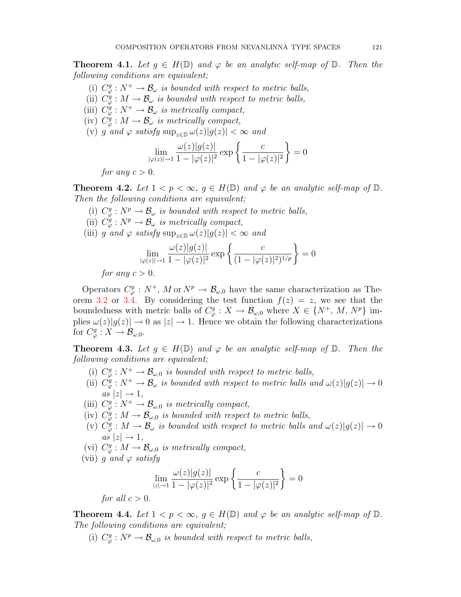**Theorem 4.1.** Let  $g \in H(\mathbb{D})$  and  $\varphi$  be an analytic self-map of  $\mathbb{D}$ . Then the following conditions are equivalent;

- (i)  $C^g_\varphi : N^+ \to \mathcal{B}_\omega$  is bounded with respect to metric balls,
- (ii)  $C^g_{\varphi}: M \to \mathcal{B}_{\omega}$  is bounded with respect to metric balls,
- (iii)  $C^g_{\varphi}: N^+ \to \mathcal{B}_{\omega}$  is metrically compact,
- (iv)  $C^g_{\varphi}: M \to \mathcal{B}_{\omega}$  is metrically compact,
- (v) g and  $\varphi$  satisfy  $\sup_{z \in \mathbb{D}} \omega(z)|g(z)| < \infty$  and

$$
\lim_{|\varphi(z)| \to 1} \frac{\omega(z)|g(z)|}{1 - |\varphi(z)|^2} \exp\left\{\frac{c}{1 - |\varphi(z)|^2}\right\} = 0
$$

for any  $c > 0$ .

**Theorem 4.2.** Let  $1 < p < \infty$ ,  $g \in H(\mathbb{D})$  and  $\varphi$  be an analytic self-map of  $\mathbb{D}$ . Then the following conditions are equivalent;

- (i)  $C^g_{\varphi}: N^p \to \mathcal{B}_{\omega}$  is bounded with respect to metric balls,
- (ii)  $C^g_{\varphi}: N^p \to \mathcal{B}_{\omega}$  is metrically compact,
- (iii) g and  $\varphi$  satisfy  $\sup_{z\in\mathbb{D}} \omega(z)|g(z)| < \infty$  and

$$
\lim_{|\varphi(z)| \to 1} \frac{\omega(z)|g(z)|}{1 - |\varphi(z)|^2} \exp \left\{ \frac{c}{(1 - |\varphi(z)|^2)^{1/p}} \right\} = 0
$$

for any  $c > 0$ .

Operators  $C^g_{\varphi}: N^+, M \text{ or } N^p \to \mathcal{B}_{\omega,0}$  have the same characterization as The-orem [3.2](#page-6-2) or [3.4.](#page-8-1) By considering the test function  $f(z) = z$ , we see that the boundedness with metric balls of  $C^g_\varphi: X \to \mathcal{B}_{\omega,0}$  where  $X \in \{N^+, M, N^p\}$  implies  $\omega(z)|g(z)| \to 0$  as  $|z| \to 1$ . Hence we obtain the following characterizations for  $C^g_\varphi: X \to \mathcal{B}_{\omega,0}.$ 

**Theorem 4.3.** Let  $g \in H(\mathbb{D})$  and  $\varphi$  be an analytic self-map of  $\mathbb{D}$ . Then the following conditions are equivalent;

- (i)  $C^g_{\varphi}: N^+ \to \mathcal{B}_{\omega,0}$  is bounded with respect to metric balls,
- (ii)  $C^g_{\varphi}: N^+ \to \mathcal{B}_{\omega}$  is bounded with respect to metric balls and  $\omega(z)|g(z)| \to 0$  $as |z| \rightarrow 1$ ,
- (iii)  $C^g_\varphi : N^+ \to \mathcal{B}_{\omega,0}$  is metrically compact,
- (iv)  $C^g_{\varphi}: M \to \mathcal{B}_{\omega,0}$  is bounded with respect to metric balls,
- (v)  $C^g_{\varphi}: M \to \mathcal{B}_{\omega}$  is bounded with respect to metric balls and  $\omega(z)|g(z)| \to 0$  $as |z| \rightarrow 1$ ,
- (vi)  $C^g_{\varphi}: M \to \mathcal{B}_{\omega,0}$  is metrically compact,
- (vii) g and  $\varphi$  satisfy

$$
\lim_{|z| \to 1} \frac{\omega(z)|g(z)|}{1 - |\varphi(z)|^2} \exp\left\{\frac{c}{1 - |\varphi(z)|^2}\right\} = 0
$$

for all  $c > 0$ .

**Theorem 4.4.** Let  $1 < p < \infty$ ,  $q \in H(\mathbb{D})$  and  $\varphi$  be an analytic self-map of  $\mathbb{D}$ . The following conditions are equivalent;

(i)  $C^g_\varphi : N^p \to \mathcal{B}_{\omega,0}$  is bounded with respect to metric balls,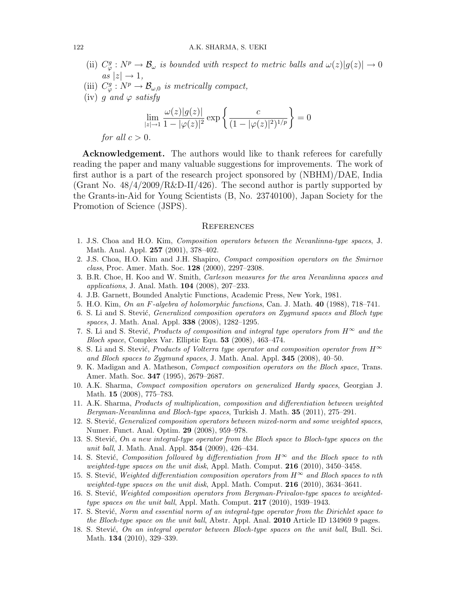- (ii)  $C^g_{\varphi}: N^p \to \mathcal{B}_{\omega}$  is bounded with respect to metric balls and  $\omega(z)|g(z)| \to 0$  $as |z| \rightarrow 1,$
- (iii)  $C^g_\varphi : N^p \to \mathcal{B}_{\omega,0}$  is metrically compact,
- (iv) q and  $\varphi$  satisfy

$$
\lim_{|z| \to 1} \frac{\omega(z)|g(z)|}{1 - |\varphi(z)|^2} \exp\left\{\frac{c}{(1 - |\varphi(z)|^2)^{1/p}}\right\} = 0
$$

for all  $c > 0$ .

Acknowledgement. The authors would like to thank referees for carefully reading the paper and many valuable suggestions for improvements. The work of first author is a part of the research project sponsored by (NBHM)/DAE, India (Grant No.  $48/4/2009/R\&D-II/426$ ). The second author is partly supported by the Grants-in-Aid for Young Scientists (B, No. 23740100), Japan Society for the Promotion of Science (JSPS).

#### **REFERENCES**

- <span id="page-10-13"></span>1. J.S. Choa and H.O. Kim, Composition operators between the Nevanlinna-type spaces, J. Math. Anal. Appl. 257 (2001), 378–402.
- <span id="page-10-11"></span>2. J.S. Choa, H.O. Kim and J.H. Shapiro, Compact composition operators on the Smirnov class, Proc. Amer. Math. Soc. 128 (2000), 2297–2308.
- <span id="page-10-12"></span>3. B.R. Choe, H. Koo and W. Smith, Carleson measures for the area Nevanlinna spaces and applications, J. Anal. Math. 104 (2008), 207–233.
- <span id="page-10-17"></span>4. J.B. Garnett, Bounded Analytic Functions, Academic Press, New York, 1981.
- <span id="page-10-9"></span>5. H.O. Kim, On an F-algebra of holomorphic functions, Can. J. Math. 40 (1988), 718–741.
- <span id="page-10-0"></span>6. S. Li and S. Stević, *Generalized composition operators on Zygmund spaces and Bloch type* spaces, J. Math. Anal. Appl. **338** (2008), 1282-1295.
- <span id="page-10-1"></span>7. S. Li and S. Stević, Products of composition and integral type operators from  $H^{\infty}$  and the Bloch space, Complex Var. Elliptic Equ. 53 (2008), 463–474.
- <span id="page-10-2"></span>8. S. Li and S. Stević, Products of Volterra type operator and composition operator from  $H^{\infty}$ and Bloch spaces to Zygmund spaces, J. Math. Anal. Appl. 345 (2008), 40–50.
- <span id="page-10-10"></span>9. K. Madigan and A. Matheson, Compact composition operators on the Bloch space, Trans. Amer. Math. Soc. 347 (1995), 2679–2687.
- <span id="page-10-14"></span>10. A.K. Sharma, Compact composition operators on generalized Hardy spaces, Georgian J. Math. 15 (2008), 775–783.
- <span id="page-10-15"></span>11. A.K. Sharma, Products of multiplication, composition and differentiation between weighted Bergman-Nevanlinna and Bloch-type spaces, Turkish J. Math. 35 (2011), 275–291.
- <span id="page-10-3"></span>12. S. Stević, *Generalized composition operators between mixed-norm and some weighted spaces*, Numer. Funct. Anal. Optim. 29 (2008), 959–978.
- <span id="page-10-6"></span>13. S. Stević, On a new integral-type operator from the Bloch space to Bloch-type spaces on the unit ball, J. Math. Anal. Appl. **354** (2009), 426-434.
- <span id="page-10-4"></span>14. S. Stević, Composition followed by differentiation from  $H^{\infty}$  and the Bloch space to nth weighted-type spaces on the unit disk, Appl. Math. Comput.  $216$  (2010), 3450–3458.
- <span id="page-10-5"></span>15. S. Stević, Weighted differentiation composition operators from  $H^{\infty}$  and Bloch spaces to nth weighted-type spaces on the unit disk, Appl. Math. Comput.  $216$  (2010), 3634-3641.
- <span id="page-10-16"></span>16. S. Stević, Weighted composition operators from Bergman-Privalov-type spaces to weightedtype spaces on the unit ball, Appl. Math. Comput. 217 (2010), 1939–1943.
- <span id="page-10-7"></span>17. S. Stević, Norm and essential norm of an integral-type operator from the Dirichlet space to the Bloch-type space on the unit ball, Abstr. Appl. Anal. 2010 Article ID 134969 9 pages.
- <span id="page-10-8"></span>18. S. Stević, On an integral operator between Bloch-type spaces on the unit ball, Bull. Sci. Math. **134** (2010), 329–339.